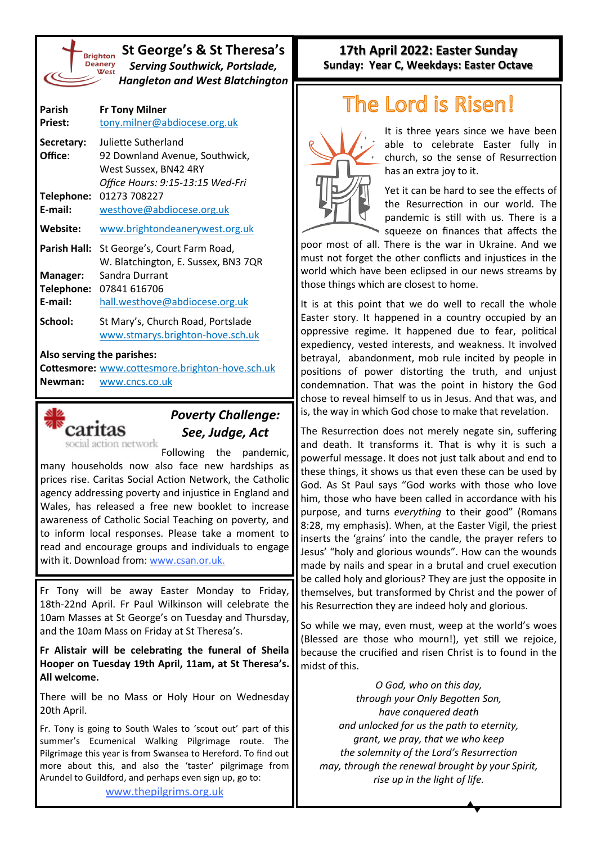

### **St George's & St Theresa's** *Serving Southwick, Portslade, Hangleton and West Blatchington*

| Parish<br><b>Priest:</b> | <b>Fr Tony Milner</b><br>tony.milner@abdiocese.org.uk                                                              |
|--------------------------|--------------------------------------------------------------------------------------------------------------------|
| Secretary:<br>Office:    | Juliette Sutherland<br>92 Downland Avenue, Southwick,<br>West Sussex, BN42 4RY<br>Office Hours: 9:15-13:15 Wed-Fri |
| Telephone:<br>F-mail:    | 01273 708227<br>westhove@abdiocese.org.uk                                                                          |
| Website:                 | www.brightondeanerywest.org.uk                                                                                     |
| Parish Hall:             | St George's, Court Farm Road,<br>W. Blatchington, E. Sussex, BN3 7QR                                               |
| Manager:                 | Sandra Durrant                                                                                                     |
| Telephone:<br>E-mail:    | 07841 616706                                                                                                       |
|                          | hall.westhove@abdiocese.org.uk                                                                                     |
| School:                  | St Mary's, Church Road, Portslade<br>www.stmarys.brighton-hove.sch.uk                                              |

#### **Also serving the parishes:**

**Cottesmore:** [www.cottesmore.brighton](http://www.cottesmore.brighton-hove.sch.uk)-hove.sch.uk **Newman:** [www.cncs.co.uk](https://www.cncs.co.uk/)



# *Poverty Challenge: See, Judge, Act*

Following the pandemic, many households now also face new hardships as prices rise. Caritas Social Action Network, the Catholic agency addressing poverty and injustice in England and Wales, has released a free new booklet to increase awareness of Catholic Social Teaching on poverty, and to inform local responses. Please take a moment to read and encourage groups and individuals to engage with it. Download from: [www.csan.or.uk.](http://www.csan.or.uk)

Fr Tony will be away Easter Monday to Friday, 18th-22nd April. Fr Paul Wilkinson will celebrate the 10am Masses at St George's on Tuesday and Thursday, and the 10am Mass on Friday at St Theresa's.

**Fr Alistair will be celebrating the funeral of Sheila Hooper on Tuesday 19th April, 11am, at St Theresa's. All welcome.**

There will be no Mass or Holy Hour on Wednesday 20th April.

Fr. Tony is going to South Wales to 'scout out' part of this summer's Ecumenical Walking Pilgrimage route. The Pilgrimage this year is from Swansea to Hereford. To find out more about this, and also the 'taster' pilgrimage from Arundel to Guildford, and perhaps even sign up, go to:

[www.thepilgrims.org.uk](http://www.thepilgrims.org.uk)

## **17th April 2022: Easter Sunday Sunday: Year C, Weekdays: Easter Octave**

# he Lord is Risen!



It is three years since we have been able to celebrate Easter fully in church, so the sense of Resurrection has an extra joy to it.

Yet it can be hard to see the effects of the Resurrection in our world. The pandemic is still with us. There is a squeeze on finances that affects the

poor most of all. There is the war in Ukraine. And we must not forget the other conflicts and injustices in the world which have been eclipsed in our news streams by those things which are closest to home.

It is at this point that we do well to recall the whole Easter story. It happened in a country occupied by an oppressive regime. It happened due to fear, political expediency, vested interests, and weakness. It involved betrayal, abandonment, mob rule incited by people in positions of power distorting the truth, and unjust condemnation. That was the point in history the God chose to reveal himself to us in Jesus. And that was, and is, the way in which God chose to make that revelation.

The Resurrection does not merely negate sin, suffering and death. It transforms it. That is why it is such a powerful message. It does not just talk about and end to these things, it shows us that even these can be used by God. As St Paul says "God works with those who love him, those who have been called in accordance with his purpose, and turns *everything* to their good" (Romans 8:28, my emphasis). When, at the Easter Vigil, the priest inserts the 'grains' into the candle, the prayer refers to Jesus' "holy and glorious wounds". How can the wounds made by nails and spear in a brutal and cruel execution be called holy and glorious? They are just the opposite in themselves, but transformed by Christ and the power of his Resurrection they are indeed holy and glorious.

So while we may, even must, weep at the world's woes (Blessed are those who mourn!), yet still we rejoice, because the crucified and risen Christ is to found in the midst of this.

*O God, who on this day, through your Only Begotten Son, have conquered death and unlocked for us the path to eternity, grant, we pray, that we who keep the solemnity of the Lord's Resurrection may, through the renewal brought by your Spirit, rise up in the light of life.*